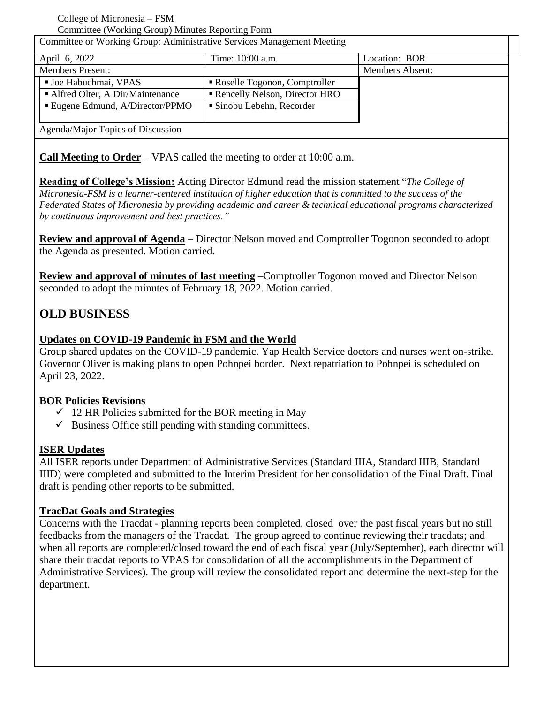College of Micronesia – FSM Committee (Working Group) Minutes Reporting Form

| Committee or Working Group: Administrative Services Management Meeting |                               |                        |
|------------------------------------------------------------------------|-------------------------------|------------------------|
| April 6, 2022                                                          | Time: 10:00 a.m.              | Location: BOR          |
| <b>Members Present:</b>                                                |                               | <b>Members Absent:</b> |
| <b>Joe Habuchmai, VPAS</b>                                             | Roselle Togonon, Comptroller  |                        |
| • Alfred Olter, A Dir/Maintenance                                      | Rencelly Nelson, Director HRO |                        |
| ■ Eugene Edmund, A/Director/PPMO                                       | Sinobu Lebehn, Recorder       |                        |
|                                                                        |                               |                        |
| Agenda/Major Topics of Discussion                                      |                               |                        |

**Call Meeting to Order** – VPAS called the meeting to order at 10:00 a.m.

**Reading of College's Mission:** Acting Director Edmund read the mission statement "*The College of Micronesia-FSM is a learner-centered institution of higher education that is committed to the success of the Federated States of Micronesia by providing academic and career & technical educational programs characterized by continuous improvement and best practices."*

**Review and approval of Agenda** – Director Nelson moved and Comptroller Togonon seconded to adopt the Agenda as presented. Motion carried.

**Review and approval of minutes of last meeting** –Comptroller Togonon moved and Director Nelson seconded to adopt the minutes of February 18, 2022. Motion carried.

# **OLD BUSINESS**

# **Updates on COVID-19 Pandemic in FSM and the World**

Group shared updates on the COVID-19 pandemic. Yap Health Service doctors and nurses went on-strike. Governor Oliver is making plans to open Pohnpei border. Next repatriation to Pohnpei is scheduled on April 23, 2022.

#### **BOR Policies Revisions**

- $\overline{\smash{\big)}\,$  12 HR Policies submitted for the BOR meeting in May
- $\checkmark$  Business Office still pending with standing committees.

# **ISER Updates**

All ISER reports under Department of Administrative Services (Standard IIIA, Standard IIIB, Standard IIID) were completed and submitted to the Interim President for her consolidation of the Final Draft. Final draft is pending other reports to be submitted.

# **TracDat Goals and Strategies**

Concerns with the Tracdat - planning reports been completed, closed over the past fiscal years but no still feedbacks from the managers of the Tracdat. The group agreed to continue reviewing their tracdats; and when all reports are completed/closed toward the end of each fiscal year (July/September), each director will share their tracdat reports to VPAS for consolidation of all the accomplishments in the Department of Administrative Services). The group will review the consolidated report and determine the next-step for the department.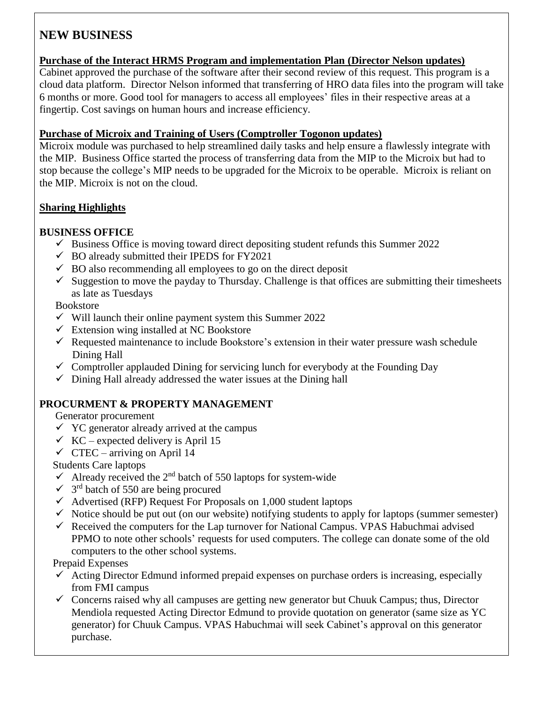# **NEW BUSINESS**

#### **Purchase of the Interact HRMS Program and implementation Plan (Director Nelson updates)**

Cabinet approved the purchase of the software after their second review of this request. This program is a cloud data platform. Director Nelson informed that transferring of HRO data files into the program will take 6 months or more. Good tool for managers to access all employees' files in their respective areas at a fingertip. Cost savings on human hours and increase efficiency.

### **Purchase of Microix and Training of Users (Comptroller Togonon updates)**

Microix module was purchased to help streamlined daily tasks and help ensure a flawlessly integrate with the MIP. Business Office started the process of transferring data from the MIP to the Microix but had to stop because the college's MIP needs to be upgraded for the Microix to be operable. Microix is reliant on the MIP. Microix is not on the cloud.

### **Sharing Highlights**

# **BUSINESS OFFICE**

- $\checkmark$  Business Office is moving toward direct depositing student refunds this Summer 2022
- $\checkmark$  BO already submitted their IPEDS for FY2021
- $\checkmark$  BO also recommending all employees to go on the direct deposit
- $\checkmark$  Suggestion to move the payday to Thursday. Challenge is that offices are submitting their timesheets as late as Tuesdays

### Bookstore

- $\checkmark$  Will launch their online payment system this Summer 2022
- $\checkmark$  Extension wing installed at NC Bookstore
- $\checkmark$  Requested maintenance to include Bookstore's extension in their water pressure wash schedule Dining Hall
- $\checkmark$  Comptroller applauded Dining for servicing lunch for everybody at the Founding Day
- $\checkmark$  Dining Hall already addressed the water issues at the Dining hall

# **PROCURMENT & PROPERTY MANAGEMENT**

Generator procurement

- $\checkmark$  YC generator already arrived at the campus
- $\checkmark$  KC expected delivery is April 15
- $\checkmark$  CTEC arriving on April 14

Students Care laptops

- Already received the  $2<sup>nd</sup>$  batch of 550 laptops for system-wide
- $\checkmark$  3<sup>rd</sup> batch of 550 are being procured
- $\checkmark$  Advertised (RFP) Request For Proposals on 1,000 student laptops
- $\checkmark$  Notice should be put out (on our website) notifying students to apply for laptops (summer semester)
- $\checkmark$  Received the computers for the Lap turnover for National Campus. VPAS Habuchmai advised PPMO to note other schools' requests for used computers. The college can donate some of the old computers to the other school systems.

Prepaid Expenses

- $\checkmark$  Acting Director Edmund informed prepaid expenses on purchase orders is increasing, especially from FMI campus
- $\checkmark$  Concerns raised why all campuses are getting new generator but Chuuk Campus; thus, Director Mendiola requested Acting Director Edmund to provide quotation on generator (same size as YC generator) for Chuuk Campus. VPAS Habuchmai will seek Cabinet's approval on this generator purchase.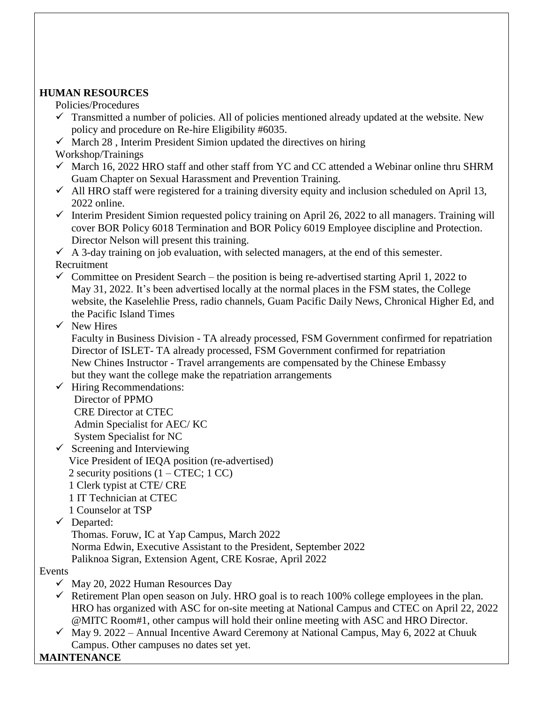#### **HUMAN RESOURCES**

Policies/Procedures

- $\checkmark$  Transmitted a number of policies. All of policies mentioned already updated at the website. New policy and procedure on Re-hire Eligibility #6035.
- $\checkmark$  March 28, Interim President Simion updated the directives on hiring
- Workshop/Trainings
- $\checkmark$  March 16, 2022 HRO staff and other staff from YC and CC attended a Webinar online thru SHRM Guam Chapter on Sexual Harassment and Prevention Training.
- $\checkmark$  All HRO staff were registered for a training diversity equity and inclusion scheduled on April 13, 2022 online.
- $\checkmark$  Interim President Simion requested policy training on April 26, 2022 to all managers. Training will cover BOR Policy 6018 Termination and BOR Policy 6019 Employee discipline and Protection. Director Nelson will present this training.

 $\checkmark$  A 3-day training on job evaluation, with selected managers, at the end of this semester.

Recruitment

- $\checkmark$  Committee on President Search the position is being re-advertised starting April 1, 2022 to May 31, 2022. It's been advertised locally at the normal places in the FSM states, the College website, the Kaselehlie Press, radio channels, Guam Pacific Daily News, Chronical Higher Ed, and the Pacific Island Times
- $\checkmark$  New Hires

Faculty in Business Division - TA already processed, FSM Government confirmed for repatriation Director of ISLET- TA already processed, FSM Government confirmed for repatriation New Chines Instructor - Travel arrangements are compensated by the Chinese Embassy but they want the college make the repatriation arrangements

- $\checkmark$  Hiring Recommendations: Director of PPMO CRE Director at CTEC Admin Specialist for AEC/ KC System Specialist for NC
- $\checkmark$  Screening and Interviewing Vice President of IEQA position (re-advertised) 2 security positions  $(1 - CTEC; 1 CC)$  1 Clerk typist at CTE/ CRE 1 IT Technician at CTEC 1 Counselor at TSP
- Departed:

Thomas. Foruw, IC at Yap Campus, March 2022

Norma Edwin, Executive Assistant to the President, September 2022

Paliknoa Sigran, Extension Agent, CRE Kosrae, April 2022

#### Events

- $\checkmark$  May 20, 2022 Human Resources Day
- $\checkmark$  Retirement Plan open season on July. HRO goal is to reach 100% college employees in the plan. HRO has organized with ASC for on-site meeting at National Campus and CTEC on April 22, 2022 @MITC Room#1, other campus will hold their online meeting with ASC and HRO Director.
- $\checkmark$  May 9. 2022 Annual Incentive Award Ceremony at National Campus, May 6, 2022 at Chuuk Campus. Other campuses no dates set yet.

**MAINTENANCE**